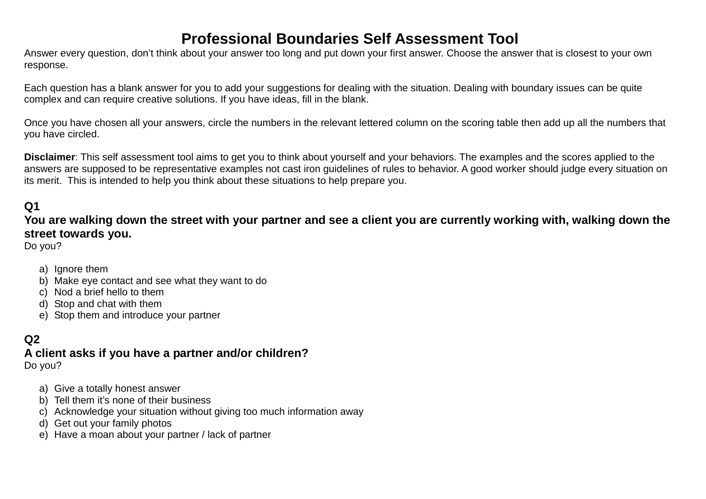# **Professional Boundaries Self Assessment Tool**

Answer every question, don't think about your answer too long and put down your first answer. Choose the answer that is closest to your own response.

Each question has a blank answer for you to add your suggestions for dealing with the situation. Dealing with boundary issues can be quite complex and can require creative solutions. If you have ideas, fill in the blank.

Once you have chosen all your answers, circle the numbers in the relevant lettered column on the scoring table then add up all the numbers that you have circled.

**Disclaimer**: This self assessment tool aims to get you to think about yourself and your behaviors. The examples and the scores applied to the answers are supposed to be representative examples not cast iron guidelines of rules to behavior. A good worker should judge every situation on its merit. This is intended to help you think about these situations to help prepare you.

## **Q1**

**You are walking down the street with your partner and see a client you are currently working with, walking down the street towards you.** 

Do you?

- a) Ignore them
- b) Make eye contact and see what they want to do
- c) Nod a brief hello to them
- d) Stop and chat with them
- e) Stop them and introduce your partner

#### **Q2**

#### **A client asks if you have a partner and/or children?**

Do you?

- a) Give a totally honest answer
- b) Tell them it's none of their business
- c) Acknowledge your situation without giving too much information away
- d) Get out your family photos
- e) Have a moan about your partner / lack of partner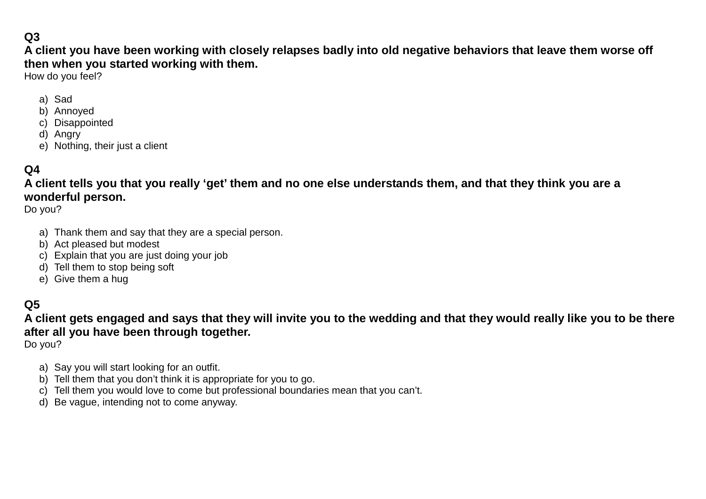# **Q3**

**A client you have been working with closely relapses badly into old negative behaviors that leave them worse off then when you started working with them.**

How do you feel?

- a) Sad
- b) Annoyed
- c) Disappointed
- d) Angry
- e) Nothing, their just a client

## **Q4**

**A client tells you that you really 'get' them and no one else understands them, and that they think you are a wonderful person.**

Do you?

- a) Thank them and say that they are a special person.
- b) Act pleased but modest
- c) Explain that you are just doing your job
- d) Tell them to stop being soft
- e) Give them a hug

### **Q5**

**A client gets engaged and says that they will invite you to the wedding and that they would really like you to be there after all you have been through together.**

Do you?

- a) Say you will start looking for an outfit.
- b) Tell them that you don't think it is appropriate for you to go.
- c) Tell them you would love to come but professional boundaries mean that you can't.
- d) Be vague, intending not to come anyway.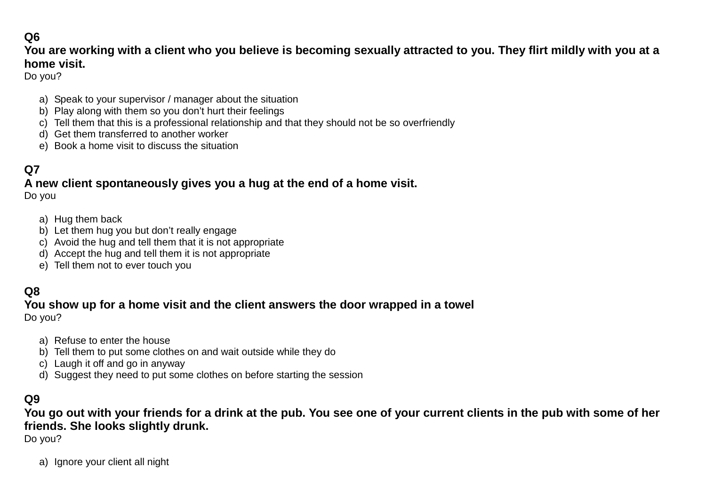## **Q6**

#### **You are working with a client who you believe is becoming sexually attracted to you. They flirt mildly with you at a home visit.**

Do you?

- a) Speak to your supervisor / manager about the situation
- b) Play along with them so you don't hurt their feelings
- c) Tell them that this is a professional relationship and that they should not be so overfriendly
- d) Get them transferred to another worker
- e) Book a home visit to discuss the situation

## **Q7**

#### **A new client spontaneously gives you a hug at the end of a home visit.**

Do you

- a) Hug them back
- b) Let them hug you but don't really engage
- c) Avoid the hug and tell them that it is not appropriate
- d) Accept the hug and tell them it is not appropriate
- e) Tell them not to ever touch you

#### **Q8**

#### **You show up for a home visit and the client answers the door wrapped in a towel** Do you?

- a) Refuse to enter the house
- b) Tell them to put some clothes on and wait outside while they do
- c) Laugh it off and go in anyway
- d) Suggest they need to put some clothes on before starting the session

#### **Q9**

**You go out with your friends for a drink at the pub. You see one of your current clients in the pub with some of her friends. She looks slightly drunk.**

Do you?

a) Ignore your client all night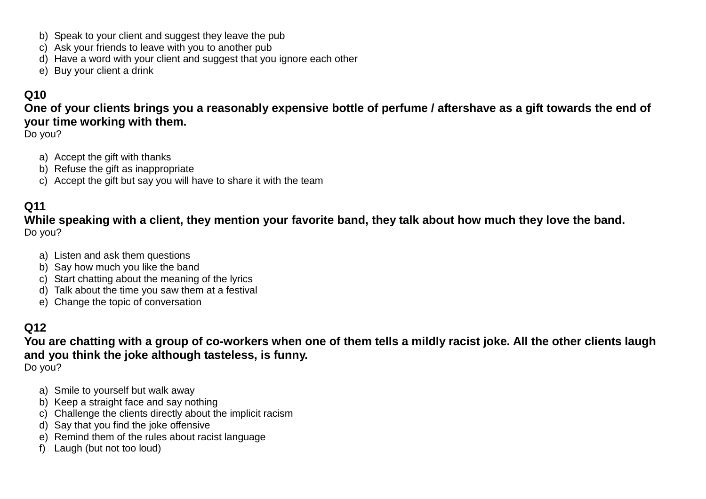- b) Speak to your client and suggest they leave the pub
- c) Ask your friends to leave with you to another pub
- d) Have a word with your client and suggest that you ignore each other
- e) Buy your client a drink

## **Q10**

**One of your clients brings you a reasonably expensive bottle of perfume / aftershave as a gift towards the end of your time working with them.**

Do you?

- a) Accept the gift with thanks
- b) Refuse the gift as inappropriate
- c) Accept the gift but say you will have to share it with the team

## **Q11**

**While speaking with a client, they mention your favorite band, they talk about how much they love the band.** Do you?

- a) Listen and ask them questions
- b) Say how much you like the band
- c) Start chatting about the meaning of the lyrics
- d) Talk about the time you saw them at a festival
- e) Change the topic of conversation

# **Q12**

**You are chatting with a group of co-workers when one of them tells a mildly racist joke. All the other clients laugh and you think the joke although tasteless, is funny.**

- Do you?
	- a) Smile to yourself but walk away
	- b) Keep a straight face and say nothing
	- c) Challenge the clients directly about the implicit racism
	- d) Say that you find the joke offensive
	- e) Remind them of the rules about racist language
	- f) Laugh (but not too loud)